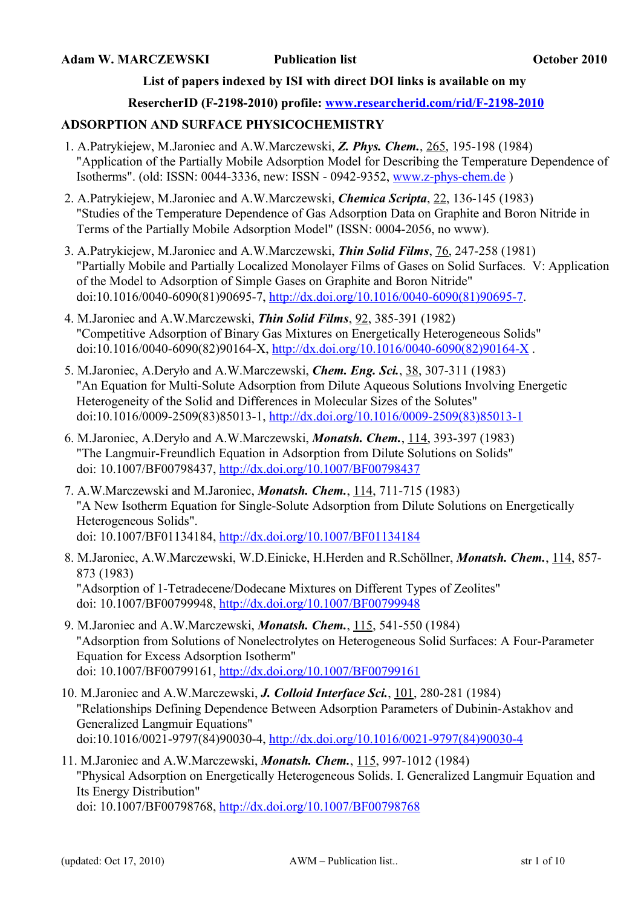### **List of papers indexed by ISI with direct DOI links is available on my**

#### **ResercherID (F-2198-2010) profile: [www.researcherid.com/rid/F-2198-2010](http://www.researcherid.com/rid/F-2198-2010)**

#### **ADSORPTION AND SURFACE PHYSICOCHEMISTRY**

- 1. A.Patrykiejew, M.Jaroniec and A.W.Marczewski, *Z. Phys. Chem.*, 265, 195-198 (1984) "Application of the Partially Mobile Adsorption Model for Describing the Temperature Dependence of Isotherms". (old: ISSN: 0044-3336, new: ISSN - 0942-9352, [www.z-phys-chem.de](http://www.z-phys-chem.de/) )
- 2. A.Patrykiejew, M.Jaroniec and A.W.Marczewski, *Chemica Scripta*, 22, 136-145 (1983) "Studies of the Temperature Dependence of Gas Adsorption Data on Graphite and Boron Nitride in Terms of the Partially Mobile Adsorption Model" (ISSN: 0004-2056, no www).
- 3. A.Patrykiejew, M.Jaroniec and A.W.Marczewski, *Thin Solid Films*, 76, 247-258 (1981) "Partially Mobile and Partially Localized Monolayer Films of Gases on Solid Surfaces. V: Application of the Model to Adsorption of Simple Gases on Graphite and Boron Nitride" doi:10.1016/0040-6090(81)90695-7, [http://dx.doi.org/10.1016/0040-6090\(81\)90695-7.](http://dx.doi.org/10.1016/0040-6090(81)90695-7)
- 4. M.Jaroniec and A.W.Marczewski, *Thin Solid Films*, 92, 385-391 (1982) "Competitive Adsorption of Binary Gas Mixtures on Energetically Heterogeneous Solids" doi:10.1016/0040-6090(82)90164-X, [http://dx.doi.org/10.1016/0040-6090\(82\)90164-X](http://dx.doi.org/10.1016/0040-6090(82)90164-X) .
- 5. M.Jaroniec, A.Deryło and A.W.Marczewski, *Chem. Eng. Sci.*, 38, 307-311 (1983) "An Equation for Multi-Solute Adsorption from Dilute Aqueous Solutions Involving Energetic Heterogeneity of the Solid and Differences in Molecular Sizes of the Solutes" doi:10.1016/0009-2509(83)85013-1, [http://dx.doi.org/10.1016/0009-2509\(83\)85013-1](http://dx.doi.org/10.1016/0009-2509(83)85013-1)
- 6. M.Jaroniec, A.Deryło and A.W.Marczewski, *Monatsh. Chem.*, 114, 393-397 (1983) "The Langmuir-Freundlich Equation in Adsorption from Dilute Solutions on Solids" doi: 10.1007/BF00798437,<http://dx.doi.org/10.1007/BF00798437>
- 7. A.W.Marczewski and M.Jaroniec, *Monatsh. Chem.*, 114, 711-715 (1983) "A New Isotherm Equation for Single-Solute Adsorption from Dilute Solutions on Energetically Heterogeneous Solids". doi: 10.1007/BF01134184,<http://dx.doi.org/10.1007/BF01134184>
- 8. M.Jaroniec, A.W.Marczewski, W.D.Einicke, H.Herden and R.Schöllner, *Monatsh. Chem.*, 114, 857- 873 (1983) "Adsorption of 1-Tetradecene/Dodecane Mixtures on Different Types of Zeolites" doi: 10.1007/BF00799948,<http://dx.doi.org/10.1007/BF00799948>
- 9. M.Jaroniec and A.W.Marczewski, *Monatsh. Chem.*, 115, 541-550 (1984) "Adsorption from Solutions of Nonelectrolytes on Heterogeneous Solid Surfaces: A Four-Parameter Equation for Excess Adsorption Isotherm" doi: 10.1007/BF00799161,<http://dx.doi.org/10.1007/BF00799161>
- 10. M.Jaroniec and A.W.Marczewski, *J. Colloid Interface Sci.*, 101, 280-281 (1984) "Relationships Defining Dependence Between Adsorption Parameters of Dubinin-Astakhov and Generalized Langmuir Equations" doi:10.1016/0021-9797(84)90030-4, [http://dx.doi.org/10.1016/0021-9797\(84\)90030-4](http://dx.doi.org/10.1016/0021-9797(84)90030-4)
- 11. M.Jaroniec and A.W.Marczewski, *Monatsh. Chem.*, 115, 997-1012 (1984) "Physical Adsorption on Energetically Heterogeneous Solids. I. Generalized Langmuir Equation and Its Energy Distribution" doi: 10.1007/BF00798768,<http://dx.doi.org/10.1007/BF00798768>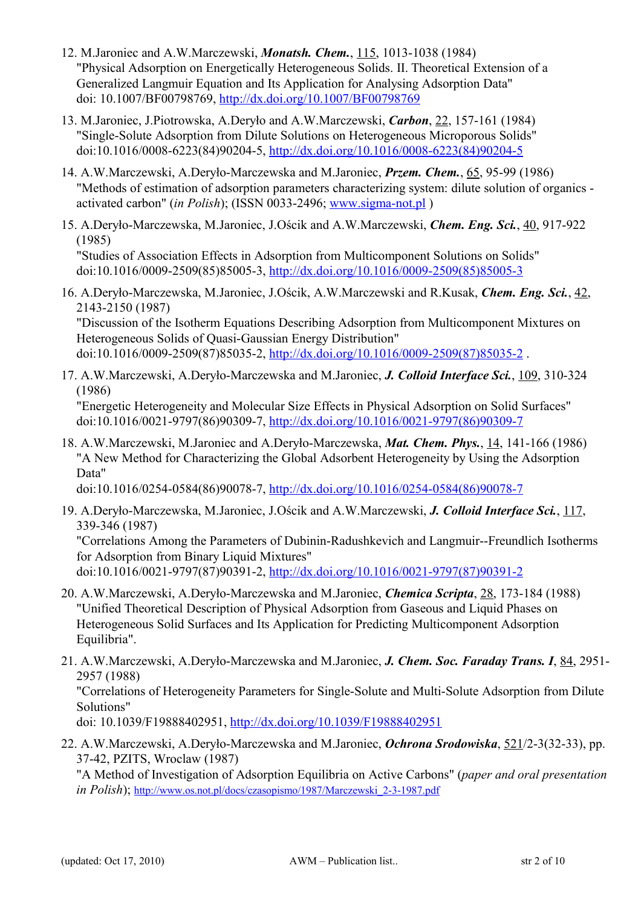- 12. M.Jaroniec and A.W.Marczewski, *Monatsh. Chem.*, 115, 1013-1038 (1984) "Physical Adsorption on Energetically Heterogeneous Solids. II. Theoretical Extension of a Generalized Langmuir Equation and Its Application for Analysing Adsorption Data" doi: 10.1007/BF00798769,<http://dx.doi.org/10.1007/BF00798769>
- 13. M.Jaroniec, J.Piotrowska, A.Deryło and A.W.Marczewski, *Carbon*, 22, 157-161 (1984) "Single-Solute Adsorption from Dilute Solutions on Heterogeneous Microporous Solids" doi:10.1016/0008-6223(84)90204-5, [http://dx.doi.org/10.1016/0008-6223\(84\)90204-5](http://dx.doi.org/10.1016/0008-6223(84)90204-5)
- 14. A.W.Marczewski, A.Deryło-Marczewska and M.Jaroniec, *Przem. Chem.*, 65, 95-99 (1986) "Methods of estimation of adsorption parameters characterizing system: dilute solution of organics activated carbon" (*in Polish*); (ISSN 0033-2496; [www.sigma-not.pl](http://www.sigma-not.pl/) )
- 15. A.Deryło-Marczewska, M.Jaroniec, J.Ościk and A.W.Marczewski, *Chem. Eng. Sci.*, 40, 917-922 (1985)

"Studies of Association Effects in Adsorption from Multicomponent Solutions on Solids" doi:10.1016/0009-2509(85)85005-3, [http://dx.doi.org/10.1016/0009-2509\(85\)85005-3](http://dx.doi.org/10.1016/0009-2509(85)85005-3)

16. A.Deryło-Marczewska, M.Jaroniec, J.Ościk, A.W.Marczewski and R.Kusak, *Chem. Eng. Sci.*, 42, 2143-2150 (1987)

"Discussion of the Isotherm Equations Describing Adsorption from Multicomponent Mixtures on Heterogeneous Solids of Quasi-Gaussian Energy Distribution" doi:10.1016/0009-2509(87)85035-2, [http://dx.doi.org/10.1016/0009-2509\(87\)85035-2](http://dx.doi.org/10.1016/0009-2509(87)85035-2) .

17. A.W.Marczewski, A.Deryło-Marczewska and M.Jaroniec, *J. Colloid Interface Sci.*, 109, 310-324 (1986)

"Energetic Heterogeneity and Molecular Size Effects in Physical Adsorption on Solid Surfaces" doi:10.1016/0021-9797(86)90309-7, [http://dx.doi.org/10.1016/0021-9797\(86\)90309-7](http://dx.doi.org/10.1016/0021-9797(86)90309-7)

18. A.W.Marczewski, M.Jaroniec and A.Deryło-Marczewska, *Mat. Chem. Phys.*, 14, 141-166 (1986) "A New Method for Characterizing the Global Adsorbent Heterogeneity by Using the Adsorption Data"

doi:10.1016/0254-0584(86)90078-7, [http://dx.doi.org/10.1016/0254-0584\(86\)90078-7](http://dx.doi.org/10.1016/0254-0584(86)90078-7)

19. A.Deryło-Marczewska, M.Jaroniec, J.Ościk and A.W.Marczewski, *J. Colloid Interface Sci.*, 117, 339-346 (1987)

"Correlations Among the Parameters of Dubinin-Radushkevich and Langmuir--Freundlich Isotherms for Adsorption from Binary Liquid Mixtures"

doi:10.1016/0021-9797(87)90391-2, [http://dx.doi.org/10.1016/0021-9797\(87\)90391-2](http://dx.doi.org/10.1016/0021-9797(87)90391-2)

- 20. A.W.Marczewski, A.Deryło-Marczewska and M.Jaroniec, *Chemica Scripta*, 28, 173-184 (1988) "Unified Theoretical Description of Physical Adsorption from Gaseous and Liquid Phases on Heterogeneous Solid Surfaces and Its Application for Predicting Multicomponent Adsorption Equilibria".
- 21. A.W.Marczewski, A.Deryło-Marczewska and M.Jaroniec, *J. Chem. Soc. Faraday Trans. I*, 84, 2951- 2957 (1988)

"Correlations of Heterogeneity Parameters for Single-Solute and Multi-Solute Adsorption from Dilute Solutions"

doi: 10.1039/F19888402951,<http://dx.doi.org/10.1039/F19888402951>

22. A.W.Marczewski, A.Deryło-Marczewska and M.Jaroniec, *Ochrona Srodowiska*, 521/2-3(32-33), pp. 37-42, PZITS, Wroclaw (1987)

"A Method of Investigation of Adsorption Equilibria on Active Carbons" (*paper and oral presentation in Polish*); [http://www.os.not.pl/docs/czasopismo/1987/Marczewski\\_2-3-1987.pdf](http://www.os.not.pl/docs/czasopismo/1987/Marczewski_2-3-1987.pdf)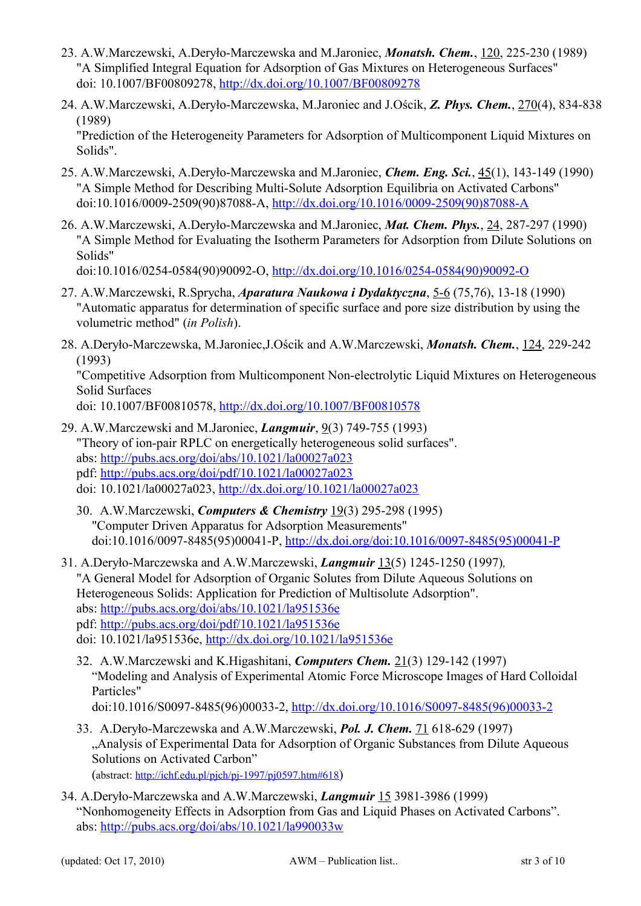- 23. A.W.Marczewski, A.Deryło-Marczewska and M.Jaroniec, *Monatsh. Chem.*, 120, 225-230 (1989) "A Simplified Integral Equation for Adsorption of Gas Mixtures on Heterogeneous Surfaces" doi: 10.1007/BF00809278,<http://dx.doi.org/10.1007/BF00809278>
- 24. A.W.Marczewski, A.Deryło-Marczewska, M.Jaroniec and J.Ościk, *Z. Phys. Chem.*, 270(4), 834-838 (1989)

"Prediction of the Heterogeneity Parameters for Adsorption of Multicomponent Liquid Mixtures on Solids".

- 25. A.W.Marczewski, A.Deryło-Marczewska and M.Jaroniec, *Chem. Eng. Sci.*, 45(1), 143-149 (1990) "A Simple Method for Describing Multi-Solute Adsorption Equilibria on Activated Carbons" doi:10.1016/0009-2509(90)87088-A, [http://dx.doi.org/10.1016/0009-2509\(90\)87088-A](http://dx.doi.org/10.1016/0009-2509(90)87088-A)
- 26. A.W.Marczewski, A.Deryło-Marczewska and M.Jaroniec, *Mat. Chem. Phys.*, 24, 287-297 (1990) "A Simple Method for Evaluating the Isotherm Parameters for Adsorption from Dilute Solutions on Solids"

doi:10.1016/0254-0584(90)90092-O, [http://dx.doi.org/10.1016/0254-0584\(90\)90092-O](http://dx.doi.org/10.1016/0254-0584(90)90092-O)

- 27. A.W.Marczewski, R.Sprycha, *Aparatura Naukowa i Dydaktyczna*, 5-6 (75,76), 13-18 (1990) "Automatic apparatus for determination of specific surface and pore size distribution by using the volumetric method" (*in Polish*).
- 28. A.Deryło-Marczewska, M.Jaroniec,J.Ościk and A.W.Marczewski, *Monatsh. Chem.*, 124, 229-242 (1993)

"Competitive Adsorption from Multicomponent Non-electrolytic Liquid Mixtures on Heterogeneous Solid Surfaces

doi: 10.1007/BF00810578,<http://dx.doi.org/10.1007/BF00810578>

- 29. A.W.Marczewski and M.Jaroniec, *Langmuir*, 9(3) 749-755 (1993) "Theory of ion-pair RPLC on energetically heterogeneous solid surfaces". abs:<http://pubs.acs.org/doi/abs/10.1021/la00027a023> pdf:<http://pubs.acs.org/doi/pdf/10.1021/la00027a023> doi: 10.1021/la00027a023,<http://dx.doi.org/10.1021/la00027a023>
	- 30. A.W.Marczewski, *Computers & Chemistry* 19(3) 295-298 (1995) "Computer Driven Apparatus for Adsorption Measurements" doi:10.1016/0097-8485(95)00041-P, [http://dx.doi.org/doi:10.1016/0097-8485\(95\)00041-P](http://dx.doi.org/doi:10.1016/0097-8485(95)00041-P)
- 31. A.Deryło-Marczewska and A.W.Marczewski, *Langmuir* 13(5) 1245-1250 (1997)*,* "A General Model for Adsorption of Organic Solutes from Dilute Aqueous Solutions on Heterogeneous Solids: Application for Prediction of Multisolute Adsorption". abs:<http://pubs.acs.org/doi/abs/10.1021/la951536e> pdf:<http://pubs.acs.org/doi/pdf/10.1021/la951536e> doi: 10.1021/la951536e,<http://dx.doi.org/10.1021/la951536e>
	- 32. A.W.Marczewski and K.Higashitani, *Computers Chem.* 21(3) 129-142 (1997) "Modeling and Analysis of Experimental Atomic Force Microscope Images of Hard Colloidal Particles" doi:10.1016/S0097-8485(96)00033-2, [http://dx.doi.org/10.1016/S0097-8485\(96\)00033-2](http://dx.doi.org/10.1016/S0097-8485(96)00033-2)
	- 33. A.Deryło-Marczewska and A.W.Marczewski, *Pol. J. Chem.* 71 618-629 (1997) "Analysis of Experimental Data for Adsorption of Organic Substances from Dilute Aqueous Solutions on Activated Carbon" (abstract:<http://ichf.edu.pl/pjch/pj-1997/pj0597.htm#618>)
- 34. A.Deryło-Marczewska and A.W.Marczewski, *Langmuir* 15 3981-3986 (1999) "Nonhomogeneity Effects in Adsorption from Gas and Liquid Phases on Activated Carbons". abs:<http://pubs.acs.org/doi/abs/10.1021/la990033w>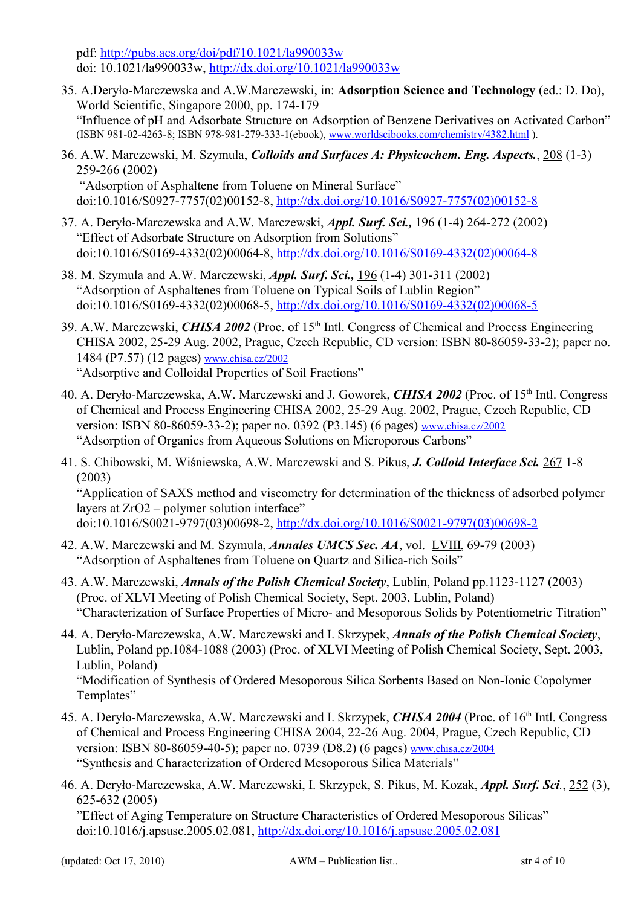pdf:<http://pubs.acs.org/doi/pdf/10.1021/la990033w> doi: 10.1021/la990033w,<http://dx.doi.org/10.1021/la990033w>

- 35. A.Deryło-Marczewska and A.W.Marczewski, in: **Adsorption Science and Technology** (ed.: D. Do), World Scientific, Singapore 2000, pp. 174-179 "Influence of pH and Adsorbate Structure on Adsorption of Benzene Derivatives on Activated Carbon" (ISBN 981-02-4263-8; ISBN 978-981-279-333-1(ebook), [www.worldscibooks.com/chemistry/4382.html](http://www.worldscibooks.com/chemistry/4382.html) ).
- 36. A.W. Marczewski, M. Szymula, *Colloids and Surfaces A: Physicochem. Eng. Aspects.*, 208 (1-3) 259-266 (2002) "Adsorption of Asphaltene from Toluene on Mineral Surface" doi:10.1016/S0927-7757(02)00152-8, [http://dx.doi.org/10.1016/S0927-7757\(02\)00152-8](http://dx.doi.org/10.1016/S0927-7757(02)00152-8)
- 37. A. Deryło-Marczewska and A.W. Marczewski, *Appl. Surf. Sci.,* 196 (1-4) 264-272 (2002) "Effect of Adsorbate Structure on Adsorption from Solutions" doi:10.1016/S0169-4332(02)00064-8, [http://dx.doi.org/10.1016/S0169-4332\(02\)00064-8](http://dx.doi.org/10.1016/S0169-4332(02)00064-8)
- 38. M. Szymula and A.W. Marczewski, *Appl. Surf. Sci.,* 196 (1-4) 301-311 (2002) "Adsorption of Asphaltenes from Toluene on Typical Soils of Lublin Region" doi:10.1016/S0169-4332(02)00068-5, [http://dx.doi.org/10.1016/S0169-4332\(02\)00068-5](http://dx.doi.org/10.1016/S0169-4332(02)00068-5)
- 39. A.W. Marczewski, *CHISA 2002* (Proc. of 15<sup>th</sup> Intl. Congress of Chemical and Process Engineering CHISA 2002, 25-29 Aug. 2002, Prague, Czech Republic, CD version: ISBN 80-86059-33-2); paper no. 1484 (P7.57) (12 pages) [www.chisa.cz/2002](http://www.chisa.cz/2002/) "Adsorptive and Colloidal Properties of Soil Fractions"
- 40. A. Deryło-Marczewska, A.W. Marczewski and J. Goworek, *CHISA 2002* (Proc. of 15th Intl. Congress of Chemical and Process Engineering CHISA 2002, 25-29 Aug. 2002, Prague, Czech Republic, CD version: ISBN 80-86059-33-2); paper no. 0392 (P3.145) (6 pages) [www.chisa.cz/2002](http://www.chisa.cz/2002/) "Adsorption of Organics from Aqueous Solutions on Microporous Carbons"
- 41. S. Chibowski, M. Wiśniewska, A.W. Marczewski and S. Pikus, *J. Colloid Interface Sci.* 267 1-8 (2003) "Application of SAXS method and viscometry for determination of the thickness of adsorbed polymer layers at ZrO2 – polymer solution interface"

doi:10.1016/S0021-9797(03)00698-2, [http://dx.doi.org/10.1016/S0021-9797\(03\)00698-2](http://dx.doi.org/10.1016/S0021-9797(03)00698-2)

- 42. A.W. Marczewski and M. Szymula, *Annales UMCS Sec. AA*, vol. LVIII, 69-79 (2003) "Adsorption of Asphaltenes from Toluene on Quartz and Silica-rich Soils"
- 43. A.W. Marczewski, *Annals of the Polish Chemical Society*, Lublin, Poland pp.1123-1127 (2003) (Proc. of XLVI Meeting of Polish Chemical Society, Sept. 2003, Lublin, Poland) "Characterization of Surface Properties of Micro- and Mesoporous Solids by Potentiometric Titration"
- 44. A. Deryło-Marczewska, A.W. Marczewski and I. Skrzypek, *Annals of the Polish Chemical Society*, Lublin, Poland pp.1084-1088 (2003) (Proc. of XLVI Meeting of Polish Chemical Society, Sept. 2003, Lublin, Poland)

"Modification of Synthesis of Ordered Mesoporous Silica Sorbents Based on Non-Ionic Copolymer Templates"

- 45. A. Deryło-Marczewska, A.W. Marczewski and I. Skrzypek, *CHISA 2004* (Proc. of 16th Intl. Congress of Chemical and Process Engineering CHISA 2004, 22-26 Aug. 2004, Prague, Czech Republic, CD version: ISBN 80-86059-40-5); paper no. 0739 (D8.2) (6 pages) [www.chisa.cz/2004](http://www.chisa.cz/2004/) "Synthesis and Characterization of Ordered Mesoporous Silica Materials"
- 46. A. Deryło-Marczewska, A.W. Marczewski, I. Skrzypek, S. Pikus, M. Kozak, *Appl. Surf. Sci.*, 252 (3), 625-632 (2005)

"Effect of Aging Temperature on Structure Characteristics of Ordered Mesoporous Silicas" doi:10.1016/j.apsusc.2005.02.081,<http://dx.doi.org/10.1016/j.apsusc.2005.02.081>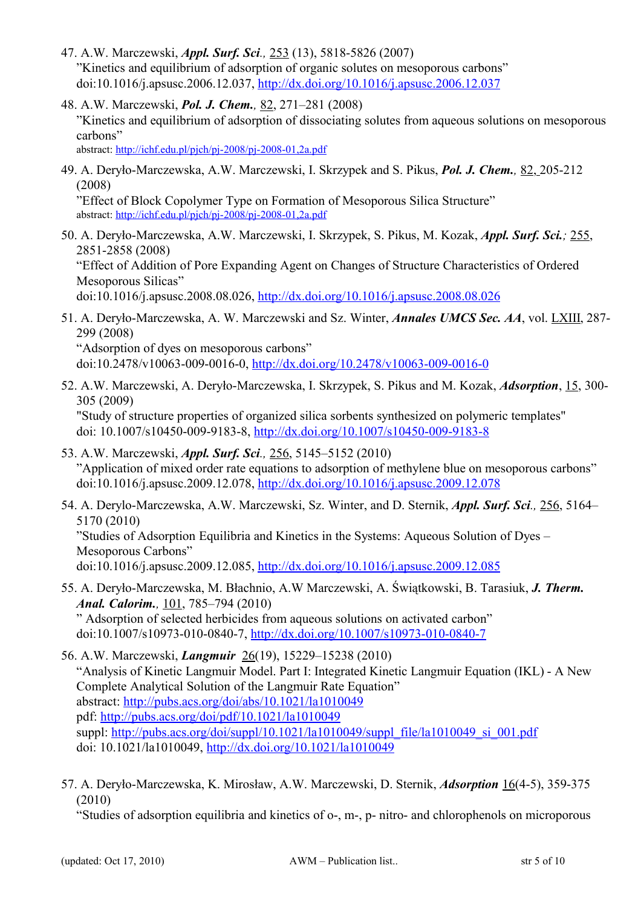- 47. A.W. Marczewski, *Appl. Surf. Sci.,* 253 (13), 5818-5826 (2007) "Kinetics and equilibrium of adsorption of organic solutes on mesoporous carbons" doi:10.1016/j.apsusc.2006.12.037,<http://dx.doi.org/10.1016/j.apsusc.2006.12.037>
- 48. A.W. Marczewski, *Pol. J. Chem.,* 82, 271–281 (2008) "Kinetics and equilibrium of adsorption of dissociating solutes from aqueous solutions on mesoporous carbons"

abstract:<http://ichf.edu.pl/pjch/pj-2008/pj-2008-01,2a.pdf>

49. A. Deryło-Marczewska, A.W. Marczewski, I. Skrzypek and S. Pikus, *Pol. J. Chem.,* 82, 205-212 (2008)

"Effect of Block Copolymer Type on Formation of Mesoporous Silica Structure" abstract:<http://ichf.edu.pl/pjch/pj-2008/pj-2008-01,2a.pdf>

50. A. Deryło-Marczewska, A.W. Marczewski, I. Skrzypek, S. Pikus, M. Kozak, *Appl. Surf. Sci.;* 255, 2851-2858 (2008) "Effect of Addition of Pore Expanding Agent on Changes of Structure Characteristics of Ordered

Mesoporous Silicas"

doi:10.1016/j.apsusc.2008.08.026,<http://dx.doi.org/10.1016/j.apsusc.2008.08.026>

51. A. Deryło-Marczewska, A. W. Marczewski and Sz. Winter, *Annales UMCS Sec. AA*, vol. LXIII, 287- 299 (2008)

"Adsorption of dyes on mesoporous carbons" doi:10.2478/v10063-009-0016-0,<http://dx.doi.org/10.2478/v10063-009-0016-0>

52. A.W. Marczewski, A. Deryło-Marczewska, I. Skrzypek, S. Pikus and M. Kozak, *Adsorption*, 15, 300- 305 (2009) "Study of structure properties of organized silica sorbents synthesized on polymeric templates"

doi: 10.1007/s10450-009-9183-8,<http://dx.doi.org/10.1007/s10450-009-9183-8>

- 53. A.W. Marczewski, *Appl. Surf. Sci.,* 256, 5145–5152 (2010) "Application of mixed order rate equations to adsorption of methylene blue on mesoporous carbons" doi:10.1016/j.apsusc.2009.12.078,<http://dx.doi.org/10.1016/j.apsusc.2009.12.078>
- 54. A. Derylo-Marczewska, A.W. Marczewski, Sz. Winter, and D. Sternik, *Appl. Surf. Sci.,* 256, 5164– 5170 (2010)

"Studies of Adsorption Equilibria and Kinetics in the Systems: Aqueous Solution of Dyes – Mesoporous Carbons"

doi:10.1016/j.apsusc.2009.12.085,<http://dx.doi.org/10.1016/j.apsusc.2009.12.085>

55. A. Deryło-Marczewska, M. Błachnio, A.W Marczewski, A. Świątkowski, B. Tarasiuk, *J. Therm. Anal. Calorim.,* 101, 785–794 (2010)

" Adsorption of selected herbicides from aqueous solutions on activated carbon" doi:10.1007/s10973-010-0840-7,<http://dx.doi.org/10.1007/s10973-010-0840-7>

56. A.W. Marczewski, *Langmuir* 26(19), 15229–15238 (2010) "Analysis of Kinetic Langmuir Model. Part I: Integrated Kinetic Langmuir Equation (IKL) - A New Complete Analytical Solution of the Langmuir Rate Equation" abstract:<http://pubs.acs.org/doi/abs/10.1021/la1010049> pdf:<http://pubs.acs.org/doi/pdf/10.1021/la1010049> suppl: [http://pubs.acs.org/doi/suppl/10.1021/la1010049/suppl\\_file/la1010049\\_si\\_001.pdf](http://pubs.acs.org/doi/suppl/10.1021/la1010049/suppl_file/la1010049_si_001.pdf) doi: 10.1021/la1010049,<http://dx.doi.org/10.1021/la1010049>

57. A. Deryło-Marczewska, K. Mirosław, A.W. Marczewski, D. Sternik, *Adsorption* 16(4-5), 359-375 (2010)

"Studies of adsorption equilibria and kinetics of o-, m-, p- nitro- and chlorophenols on microporous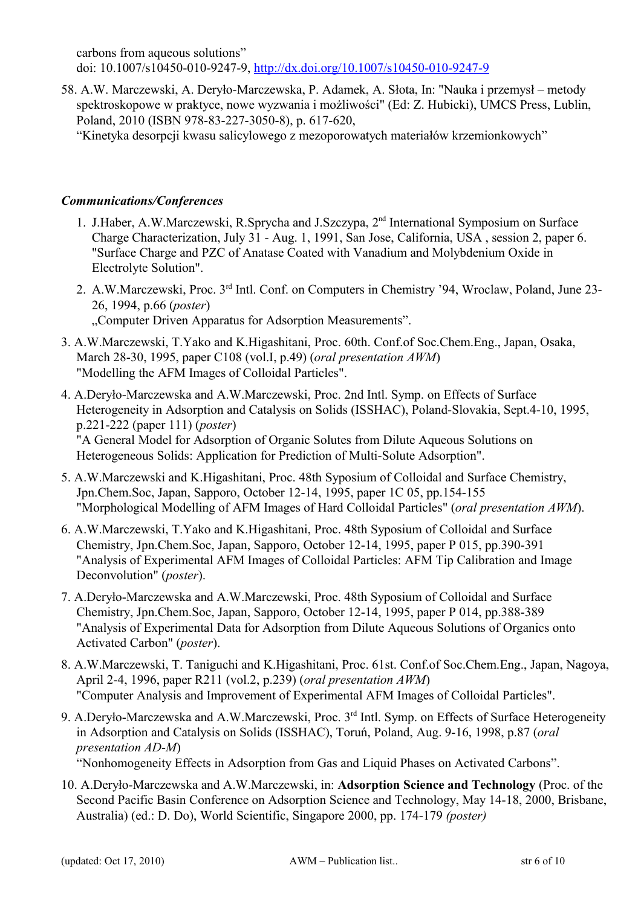carbons from aqueous solutions" doi: 10.1007/s10450-010-9247-9,<http://dx.doi.org/10.1007/s10450-010-9247-9>

58. A.W. Marczewski, A. Deryło-Marczewska, P. Adamek, A. Słota, In: "Nauka i przemysł – metody spektroskopowe w praktyce, nowe wyzwania i możliwości" (Ed: Z. Hubicki), UMCS Press, Lublin, Poland, 2010 (ISBN 978-83-227-3050-8), p. 617-620,

"Kinetyka desorpcji kwasu salicylowego z mezoporowatych materiałów krzemionkowych"

## *Communications/Conferences*

- 1. J.Haber, A.W.Marczewski, R.Sprycha and J.Szczypa, 2nd International Symposium on Surface Charge Characterization, July 31 - Aug. 1, 1991, San Jose, California, USA , session 2, paper 6. "Surface Charge and PZC of Anatase Coated with Vanadium and Molybdenium Oxide in Electrolyte Solution".
- 2. A.W.Marczewski, Proc. 3rd Intl. Conf. on Computers in Chemistry '94, Wroclaw, Poland, June 23- 26, 1994, p.66 (*poster*) ..Computer Driven Apparatus for Adsorption Measurements".
- 3. A.W.Marczewski, T.Yako and K.Higashitani, Proc. 60th. Conf.of Soc.Chem.Eng., Japan, Osaka, March 28-30, 1995, paper C108 (vol.I, p.49) (*oral presentation AWM*) "Modelling the AFM Images of Colloidal Particles".
- 4. A.Deryło-Marczewska and A.W.Marczewski, Proc. 2nd Intl. Symp. on Effects of Surface Heterogeneity in Adsorption and Catalysis on Solids (ISSHAC), Poland-Slovakia, Sept.4-10, 1995, p.221-222 (paper 111) (*poster*)

"A General Model for Adsorption of Organic Solutes from Dilute Aqueous Solutions on Heterogeneous Solids: Application for Prediction of Multi-Solute Adsorption".

- 5. A.W.Marczewski and K.Higashitani, Proc. 48th Syposium of Colloidal and Surface Chemistry, Jpn.Chem.Soc, Japan, Sapporo, October 12-14, 1995, paper 1C 05, pp.154-155 "Morphological Modelling of AFM Images of Hard Colloidal Particles" (*oral presentation AWM*).
- 6. A.W.Marczewski, T.Yako and K.Higashitani, Proc. 48th Syposium of Colloidal and Surface Chemistry, Jpn.Chem.Soc, Japan, Sapporo, October 12-14, 1995, paper P 015, pp.390-391 "Analysis of Experimental AFM Images of Colloidal Particles: AFM Tip Calibration and Image Deconvolution" (*poster*).
- 7. A.Deryło-Marczewska and A.W.Marczewski, Proc. 48th Syposium of Colloidal and Surface Chemistry, Jpn.Chem.Soc, Japan, Sapporo, October 12-14, 1995, paper P 014, pp.388-389 "Analysis of Experimental Data for Adsorption from Dilute Aqueous Solutions of Organics onto Activated Carbon" (*poster*).
- 8. A.W.Marczewski, T. Taniguchi and K.Higashitani, Proc. 61st. Conf.of Soc.Chem.Eng., Japan, Nagoya, April 2-4, 1996, paper R211 (vol.2, p.239) (*oral presentation AWM*) "Computer Analysis and Improvement of Experimental AFM Images of Colloidal Particles".
- 9. A.Deryło-Marczewska and A.W.Marczewski, Proc. 3<sup>rd</sup> Intl. Symp. on Effects of Surface Heterogeneity in Adsorption and Catalysis on Solids (ISSHAC), Toruń, Poland, Aug. 9-16, 1998, p.87 (*oral presentation AD-M*)

"Nonhomogeneity Effects in Adsorption from Gas and Liquid Phases on Activated Carbons".

10. A.Deryło-Marczewska and A.W.Marczewski, in: **Adsorption Science and Technology** (Proc. of the Second Pacific Basin Conference on Adsorption Science and Technology, May 14-18, 2000, Brisbane, Australia) (ed.: D. Do), World Scientific, Singapore 2000, pp. 174-179 *(poster)*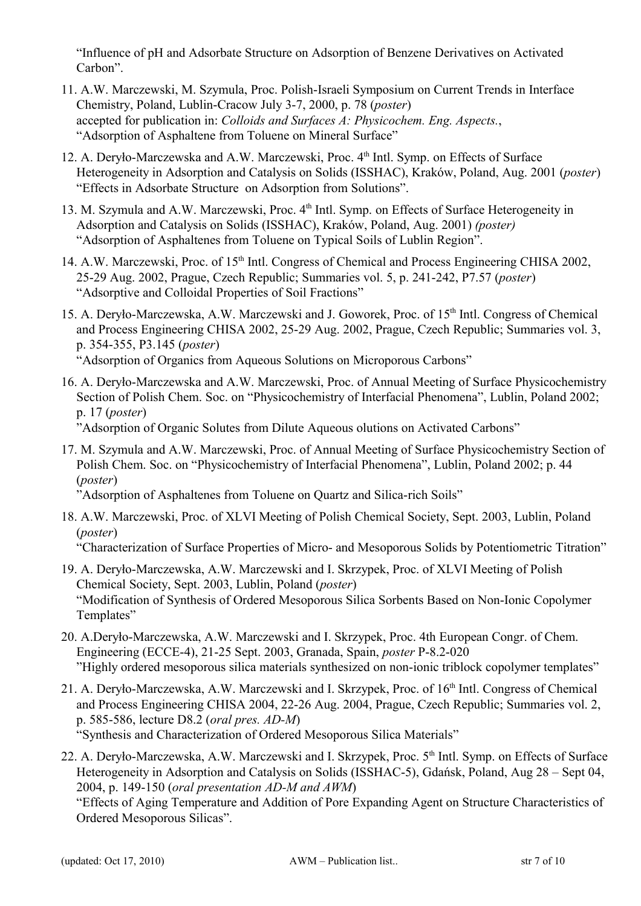"Influence of pH and Adsorbate Structure on Adsorption of Benzene Derivatives on Activated Carbon".

- 11. A.W. Marczewski, M. Szymula, Proc. Polish-Israeli Symposium on Current Trends in Interface Chemistry, Poland, Lublin-Cracow July 3-7, 2000, p. 78 (*poster*) accepted for publication in: *Colloids and Surfaces A: Physicochem. Eng. Aspects.*, "Adsorption of Asphaltene from Toluene on Mineral Surface"
- 12. A. Deryło-Marczewska and A.W. Marczewski, Proc. 4<sup>th</sup> Intl. Symp. on Effects of Surface Heterogeneity in Adsorption and Catalysis on Solids (ISSHAC), Kraków, Poland, Aug. 2001 (*poster*) "Effects in Adsorbate Structure on Adsorption from Solutions".
- 13. M. Szymula and A.W. Marczewski, Proc. 4<sup>th</sup> Intl. Symp. on Effects of Surface Heterogeneity in Adsorption and Catalysis on Solids (ISSHAC), Kraków, Poland, Aug. 2001) *(poster)* "Adsorption of Asphaltenes from Toluene on Typical Soils of Lublin Region".
- 14. A.W. Marczewski, Proc. of 15<sup>th</sup> Intl. Congress of Chemical and Process Engineering CHISA 2002, 25-29 Aug. 2002, Prague, Czech Republic; Summaries vol. 5, p. 241-242, P7.57 (*poster*) "Adsorptive and Colloidal Properties of Soil Fractions"
- 15. A. Deryło-Marczewska, A.W. Marczewski and J. Goworek, Proc. of 15<sup>th</sup> Intl. Congress of Chemical and Process Engineering CHISA 2002, 25-29 Aug. 2002, Prague, Czech Republic; Summaries vol. 3, p. 354-355, P3.145 (*poster*) "Adsorption of Organics from Aqueous Solutions on Microporous Carbons"
- 16. A. Deryło-Marczewska and A.W. Marczewski, Proc. of Annual Meeting of Surface Physicochemistry Section of Polish Chem. Soc. on "Physicochemistry of Interfacial Phenomena", Lublin, Poland 2002; p. 17 (*poster*)

"Adsorption of Organic Solutes from Dilute Aqueous olutions on Activated Carbons"

17. M. Szymula and A.W. Marczewski, Proc. of Annual Meeting of Surface Physicochemistry Section of Polish Chem. Soc. on "Physicochemistry of Interfacial Phenomena", Lublin, Poland 2002; p. 44 (*poster*)

"Adsorption of Asphaltenes from Toluene on Quartz and Silica-rich Soils"

18. A.W. Marczewski, Proc. of XLVI Meeting of Polish Chemical Society, Sept. 2003, Lublin, Poland (*poster*)

"Characterization of Surface Properties of Micro- and Mesoporous Solids by Potentiometric Titration"

- 19. A. Deryło-Marczewska, A.W. Marczewski and I. Skrzypek, Proc. of XLVI Meeting of Polish Chemical Society, Sept. 2003, Lublin, Poland (*poster*) "Modification of Synthesis of Ordered Mesoporous Silica Sorbents Based on Non-Ionic Copolymer Templates"
- 20. A.Deryło-Marczewska, A.W. Marczewski and I. Skrzypek, Proc. 4th European Congr. of Chem. Engineering (ECCE-4), 21-25 Sept. 2003, Granada, Spain, *poster* P-8.2-020 "Highly ordered mesoporous silica materials synthesized on non-ionic triblock copolymer templates"
- 21. A. Deryło-Marczewska, A.W. Marczewski and I. Skrzypek, Proc. of 16<sup>th</sup> Intl. Congress of Chemical and Process Engineering CHISA 2004, 22-26 Aug. 2004, Prague, Czech Republic; Summaries vol. 2, p. 585-586, lecture D8.2 (*oral pres. AD-M*) "Synthesis and Characterization of Ordered Mesoporous Silica Materials"
- 22. A. Deryło-Marczewska, A.W. Marczewski and I. Skrzypek, Proc. 5<sup>th</sup> Intl. Symp. on Effects of Surface Heterogeneity in Adsorption and Catalysis on Solids (ISSHAC-5), Gdańsk, Poland, Aug 28 – Sept 04, 2004, p. 149-150 (*oral presentation AD-M and AWM*)

"Effects of Aging Temperature and Addition of Pore Expanding Agent on Structure Characteristics of Ordered Mesoporous Silicas".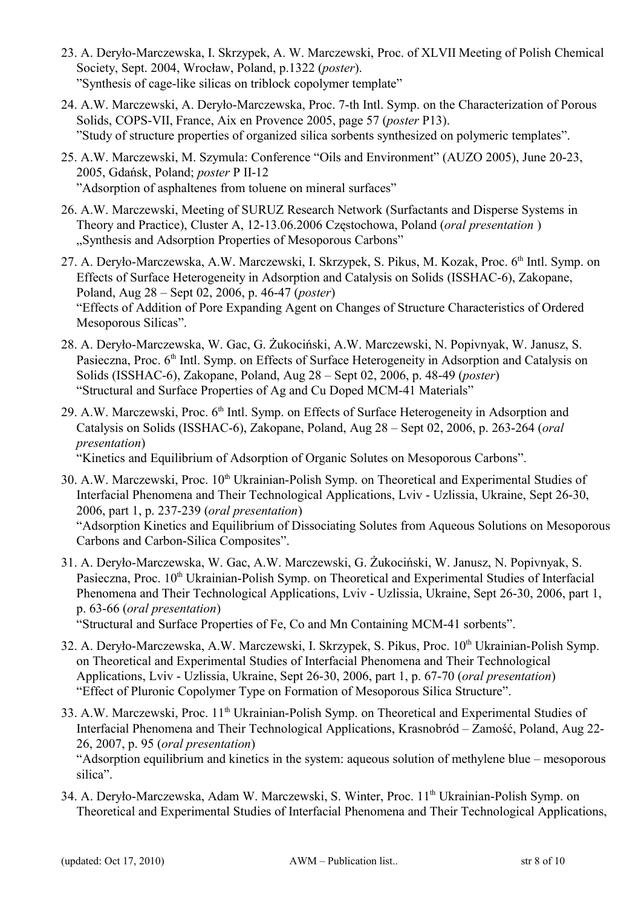- 23. A. Deryło-Marczewska, I. Skrzypek, A. W. Marczewski, Proc. of XLVII Meeting of Polish Chemical Society, Sept. 2004, Wrocław, Poland, p.1322 (*poster*). "Synthesis of cage-like silicas on triblock copolymer template"
- 24. A.W. Marczewski, A. Deryło-Marczewska, Proc. 7-th Intl. Symp. on the Characterization of Porous Solids, COPS-VII, France, Aix en Provence 2005, page 57 (*poster* P13). "Study of structure properties of organized silica sorbents synthesized on polymeric templates".
- 25. A.W. Marczewski, M. Szymula: Conference "Oils and Environment" (AUZO 2005), June 20-23, 2005, Gdańsk, Poland; *poster* P II-12 "Adsorption of asphaltenes from toluene on mineral surfaces"
- 26. A.W. Marczewski, Meeting of SURUZ Research Network (Surfactants and Disperse Systems in Theory and Practice), Cluster A, 12-13.06.2006 Częstochowa, Poland (*oral presentation* ) "Synthesis and Adsorption Properties of Mesoporous Carbons"
- 27. A. Deryło-Marczewska, A.W. Marczewski, I. Skrzypek, S. Pikus, M. Kozak, Proc. 6<sup>th</sup> Intl. Symp. on Effects of Surface Heterogeneity in Adsorption and Catalysis on Solids (ISSHAC-6), Zakopane, Poland, Aug 28 – Sept 02, 2006, p. 46-47 (*poster*) "Effects of Addition of Pore Expanding Agent on Changes of Structure Characteristics of Ordered Mesoporous Silicas".
- 28. A. Deryło-Marczewska, W. Gac, G. Żukociński, A.W. Marczewski, N. Popivnyak, W. Janusz, S. Pasieczna, Proc. 6<sup>th</sup> Intl. Symp. on Effects of Surface Heterogeneity in Adsorption and Catalysis on Solids (ISSHAC-6), Zakopane, Poland, Aug 28 – Sept 02, 2006, p. 48-49 (*poster*) "Structural and Surface Properties of Ag and Cu Doped MCM-41 Materials"
- 29. A.W. Marczewski, Proc.  $6<sup>th</sup>$  Intl. Symp. on Effects of Surface Heterogeneity in Adsorption and Catalysis on Solids (ISSHAC-6), Zakopane, Poland, Aug 28 – Sept 02, 2006, p. 263-264 (*oral presentation*)

"Kinetics and Equilibrium of Adsorption of Organic Solutes on Mesoporous Carbons".

- 30. A.W. Marczewski, Proc. 10<sup>th</sup> Ukrainian-Polish Symp. on Theoretical and Experimental Studies of Interfacial Phenomena and Their Technological Applications, Lviv - Uzlissia, Ukraine, Sept 26-30, 2006, part 1, p. 237-239 (*oral presentation*) "Adsorption Kinetics and Equilibrium of Dissociating Solutes from Aqueous Solutions on Mesoporous Carbons and Carbon-Silica Composites".
- 31. A. Deryło-Marczewska, W. Gac, A.W. Marczewski, G. Żukociński, W. Janusz, N. Popivnyak, S. Pasieczna, Proc. 10<sup>th</sup> Ukrainian-Polish Symp. on Theoretical and Experimental Studies of Interfacial Phenomena and Their Technological Applications, Lviv - Uzlissia, Ukraine, Sept 26-30, 2006, part 1, p. 63-66 (*oral presentation*)

"Structural and Surface Properties of Fe, Co and Mn Containing MCM-41 sorbents".

- 32. A. Deryło-Marczewska, A.W. Marczewski, I. Skrzypek, S. Pikus, Proc. 10<sup>th</sup> Ukrainian-Polish Symp. on Theoretical and Experimental Studies of Interfacial Phenomena and Their Technological Applications, Lviv - Uzlissia, Ukraine, Sept 26-30, 2006, part 1, p. 67-70 (*oral presentation*) "Effect of Pluronic Copolymer Type on Formation of Mesoporous Silica Structure".
- 33. A.W. Marczewski, Proc. 11<sup>th</sup> Ukrainian-Polish Symp. on Theoretical and Experimental Studies of Interfacial Phenomena and Their Technological Applications, Krasnobród – Zamość, Poland, Aug 22- 26, 2007, p. 95 (*oral presentation*)

"Adsorption equilibrium and kinetics in the system: aqueous solution of methylene blue – mesoporous silica".

34. A. Deryło-Marczewska, Adam W. Marczewski, S. Winter, Proc. 11<sup>th</sup> Ukrainian-Polish Symp. on Theoretical and Experimental Studies of Interfacial Phenomena and Their Technological Applications,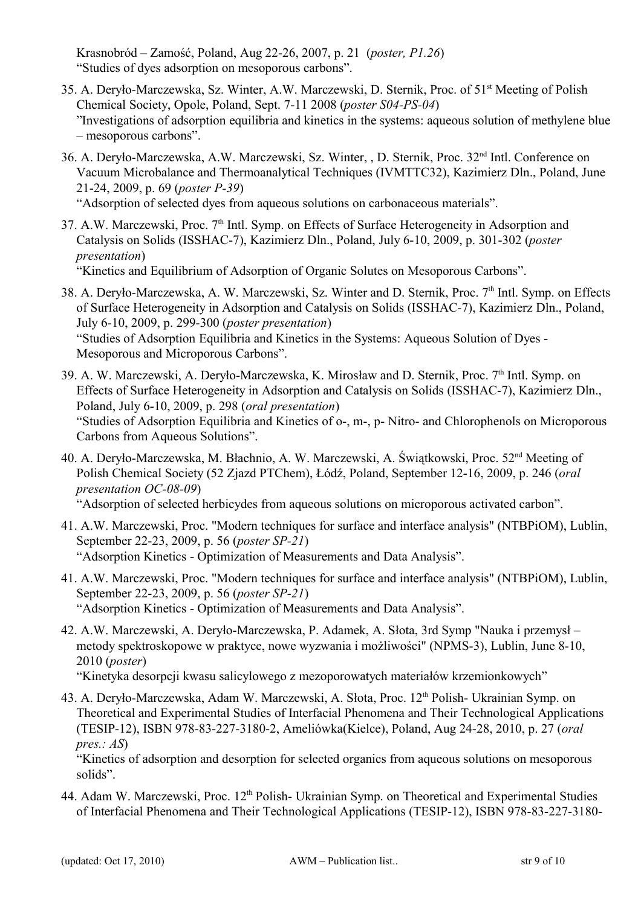Krasnobród – Zamość, Poland, Aug 22-26, 2007, p. 21 (*poster, P1.26*) "Studies of dyes adsorption on mesoporous carbons".

- 35. A. Deryło-Marczewska, Sz. Winter, A.W. Marczewski, D. Sternik, Proc. of 51st Meeting of Polish Chemical Society, Opole, Poland, Sept. 7-11 2008 (*poster S04-PS-04*) "Investigations of adsorption equilibria and kinetics in the systems: aqueous solution of methylene blue – mesoporous carbons".
- 36. A. Deryło-Marczewska, A.W. Marczewski, Sz. Winter, , D. Sternik, Proc. 32nd Intl. Conference on Vacuum Microbalance and Thermoanalytical Techniques (IVMTTC32), Kazimierz Dln., Poland, June 21-24, 2009, p. 69 (*poster P-39*)

"Adsorption of selected dyes from aqueous solutions on carbonaceous materials".

37. A.W. Marczewski, Proc.  $7<sup>th</sup>$  Intl. Symp. on Effects of Surface Heterogeneity in Adsorption and Catalysis on Solids (ISSHAC-7), Kazimierz Dln., Poland, July 6-10, 2009, p. 301-302 (*poster presentation*)

"Kinetics and Equilibrium of Adsorption of Organic Solutes on Mesoporous Carbons".

- 38. A. Deryło-Marczewska, A. W. Marczewski, Sz. Winter and D. Sternik, Proc. 7<sup>th</sup> Intl. Symp. on Effects of Surface Heterogeneity in Adsorption and Catalysis on Solids (ISSHAC-7), Kazimierz Dln., Poland, July 6-10, 2009, p. 299-300 (*poster presentation*) "Studies of Adsorption Equilibria and Kinetics in the Systems: Aqueous Solution of Dyes - Mesoporous and Microporous Carbons".
- 39. A. W. Marczewski, A. Deryło-Marczewska, K. Mirosław and D. Sternik, Proc. 7<sup>th</sup> Intl. Symp. on Effects of Surface Heterogeneity in Adsorption and Catalysis on Solids (ISSHAC-7), Kazimierz Dln., Poland, July 6-10, 2009, p. 298 (*oral presentation*) "Studies of Adsorption Equilibria and Kinetics of o-, m-, p- Nitro- and Chlorophenols on Microporous Carbons from Aqueous Solutions".
- 40. A. Deryło-Marczewska, M. Błachnio, A. W. Marczewski, A. Świątkowski, Proc. 52nd Meeting of Polish Chemical Society (52 Zjazd PTChem), Łódź, Poland, September 12-16, 2009, p. 246 (*oral presentation OC-08-09*) "Adsorption of selected herbicydes from aqueous solutions on microporous activated carbon".
- 41. A.W. Marczewski, Proc. "Modern techniques for surface and interface analysis" (NTBPiOM), Lublin, September 22-23, 2009, p. 56 (*poster SP-21*) "Adsorption Kinetics - Optimization of Measurements and Data Analysis".
- 41. A.W. Marczewski, Proc. "Modern techniques for surface and interface analysis" (NTBPiOM), Lublin, September 22-23, 2009, p. 56 (*poster SP-21*) "Adsorption Kinetics - Optimization of Measurements and Data Analysis".
- 42. A.W. Marczewski, A. Deryło-Marczewska, P. Adamek, A. Słota, 3rd Symp "Nauka i przemysł metody spektroskopowe w praktyce, nowe wyzwania i możliwości" (NPMS-3), Lublin, June 8-10, 2010 (*poster*)

"Kinetyka desorpcji kwasu salicylowego z mezoporowatych materiałów krzemionkowych"

43. A. Deryło-Marczewska, Adam W. Marczewski, A. Słota, Proc. 12<sup>th</sup> Polish- Ukrainian Symp. on Theoretical and Experimental Studies of Interfacial Phenomena and Their Technological Applications (TESIP-12), ISBN 978-83-227-3180-2, Ameliówka(Kielce), Poland, Aug 24-28, 2010, p. 27 (*oral pres.: AS*)

"Kinetics of adsorption and desorption for selected organics from aqueous solutions on mesoporous solids".

44. Adam W. Marczewski, Proc. 12<sup>th</sup> Polish- Ukrainian Symp. on Theoretical and Experimental Studies of Interfacial Phenomena and Their Technological Applications (TESIP-12), ISBN 978-83-227-3180